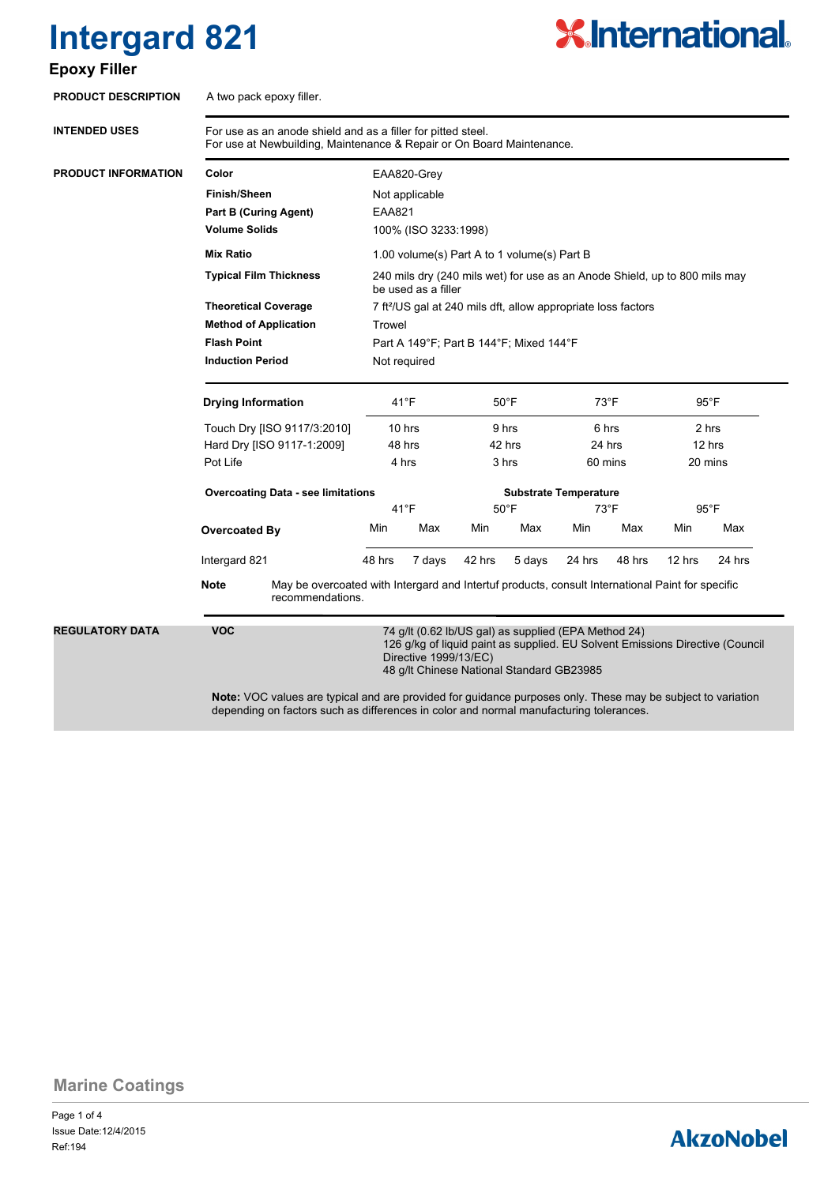### **Epoxy Filler**



| <b>PRODUCT DESCRIPTION</b> | A two pack epoxy filler.                                                                                                              |                                                                                                                                     |                                                                                                                                                                                                                                                     |                      |        |        |        |        |        |        |                                                                                                    |  |                                   |  |                                            |  |                                              |  |                                              |  |                                           |  |                |  |                |                              |                |
|----------------------------|---------------------------------------------------------------------------------------------------------------------------------------|-------------------------------------------------------------------------------------------------------------------------------------|-----------------------------------------------------------------------------------------------------------------------------------------------------------------------------------------------------------------------------------------------------|----------------------|--------|--------|--------|--------|--------|--------|----------------------------------------------------------------------------------------------------|--|-----------------------------------|--|--------------------------------------------|--|----------------------------------------------|--|----------------------------------------------|--|-------------------------------------------|--|----------------|--|----------------|------------------------------|----------------|
| <b>INTENDED USES</b>       | For use as an anode shield and as a filler for pitted steel.<br>For use at Newbuilding, Maintenance & Repair or On Board Maintenance. |                                                                                                                                     |                                                                                                                                                                                                                                                     |                      |        |        |        |        |        |        |                                                                                                    |  |                                   |  |                                            |  |                                              |  |                                              |  |                                           |  |                |  |                |                              |                |
| <b>PRODUCT INFORMATION</b> | Color                                                                                                                                 |                                                                                                                                     | EAA820-Grey                                                                                                                                                                                                                                         |                      |        |        |        |        |        |        |                                                                                                    |  |                                   |  |                                            |  |                                              |  |                                              |  |                                           |  |                |  |                |                              |                |
|                            | <b>Finish/Sheen</b><br><b>Part B (Curing Agent)</b><br><b>Volume Solids</b>                                                           |                                                                                                                                     | Not applicable<br>EAA821                                                                                                                                                                                                                            |                      |        |        |        |        |        |        |                                                                                                    |  |                                   |  |                                            |  |                                              |  |                                              |  |                                           |  |                |  |                |                              |                |
|                            |                                                                                                                                       |                                                                                                                                     |                                                                                                                                                                                                                                                     |                      |        |        |        |        |        |        |                                                                                                    |  |                                   |  |                                            |  |                                              |  |                                              |  |                                           |  |                |  |                |                              |                |
|                            |                                                                                                                                       |                                                                                                                                     |                                                                                                                                                                                                                                                     | 100% (ISO 3233:1998) |        |        |        |        |        |        |                                                                                                    |  |                                   |  |                                            |  |                                              |  |                                              |  |                                           |  |                |  |                |                              |                |
|                            | <b>Mix Ratio</b>                                                                                                                      |                                                                                                                                     | 1.00 volume(s) Part A to 1 volume(s) Part B                                                                                                                                                                                                         |                      |        |        |        |        |        |        |                                                                                                    |  |                                   |  |                                            |  |                                              |  |                                              |  |                                           |  |                |  |                |                              |                |
|                            | <b>Typical Film Thickness</b><br><b>Theoretical Coverage</b><br><b>Method of Application</b><br><b>Flash Point</b>                    |                                                                                                                                     | 240 mils dry (240 mils wet) for use as an Anode Shield, up to 800 mils may<br>be used as a filler<br>7 ft <sup>2</sup> /US gal at 240 mils dft, allow appropriate loss factors<br>Trowel<br>Part A 149°F; Part B 144°F; Mixed 144°F<br>Not required |                      |        |        |        |        |        |        |                                                                                                    |  |                                   |  |                                            |  |                                              |  |                                              |  |                                           |  |                |  |                |                              |                |
|                            |                                                                                                                                       |                                                                                                                                     |                                                                                                                                                                                                                                                     |                      |        |        |        |        |        |        | <b>Induction Period</b>                                                                            |  |                                   |  |                                            |  |                                              |  |                                              |  |                                           |  |                |  |                |                              |                |
|                            |                                                                                                                                       |                                                                                                                                     |                                                                                                                                                                                                                                                     |                      |        |        |        |        |        |        | <b>Drying Information</b><br>Touch Dry [ISO 9117/3:2010]<br>Hard Dry [ISO 9117-1:2009]<br>Pot Life |  | 41°F<br>10 hrs<br>48 hrs<br>4 hrs |  | $50^{\circ}$ F<br>9 hrs<br>42 hrs<br>3 hrs |  | $73^{\circ}$ F<br>6 hrs<br>24 hrs<br>60 mins |  | $95^{\circ}$ F<br>2 hrs<br>12 hrs<br>20 mins |  |                                           |  |                |  |                |                              |                |
|                            |                                                                                                                                       |                                                                                                                                     |                                                                                                                                                                                                                                                     |                      |        |        |        |        |        |        |                                                                                                    |  |                                   |  |                                            |  |                                              |  |                                              |  | <b>Overcoating Data - see limitations</b> |  |                |  |                | <b>Substrate Temperature</b> |                |
|                            |                                                                                                                                       |                                                                                                                                     |                                                                                                                                                                                                                                                     |                      |        |        |        |        |        |        |                                                                                                    |  |                                   |  |                                            |  |                                              |  |                                              |  | $41^{\circ}F$                             |  | $50^{\circ}$ F |  | $73^{\circ}$ F |                              | $95^{\circ}$ F |
|                            |                                                                                                                                       | Overcoated By                                                                                                                       |                                                                                                                                                                                                                                                     | Min                  | Max    | Min    | Max    | Min    | Max    | Min    |                                                                                                    |  |                                   |  |                                            |  |                                              |  |                                              |  | Max                                       |  |                |  |                |                              |                |
|                            |                                                                                                                                       | Intergard 821                                                                                                                       |                                                                                                                                                                                                                                                     | 48 hrs               | 7 days | 42 hrs | 5 days | 24 hrs | 48 hrs | 12 hrs | 24 hrs                                                                                             |  |                                   |  |                                            |  |                                              |  |                                              |  |                                           |  |                |  |                |                              |                |
|                            |                                                                                                                                       | <b>Note</b><br>May be overcoated with Intergard and Intertuf products, consult International Paint for specific<br>recommendations. |                                                                                                                                                                                                                                                     |                      |        |        |        |        |        |        |                                                                                                    |  |                                   |  |                                            |  |                                              |  |                                              |  |                                           |  |                |  |                |                              |                |
|                            | <b>REGULATORY DATA</b>                                                                                                                | <b>VOC</b>                                                                                                                          | 74 g/lt (0.62 lb/US gal) as supplied (EPA Method 24)<br>126 g/kg of liquid paint as supplied. EU Solvent Emissions Directive (Council<br>Directive 1999/13/EC)<br>48 g/lt Chinese National Standard GB23985                                         |                      |        |        |        |        |        |        |                                                                                                    |  |                                   |  |                                            |  |                                              |  |                                              |  |                                           |  |                |  |                |                              |                |
|                            |                                                                                                                                       |                                                                                                                                     | Note: VOC values are typical and are provided for guidance purposes only. These may be subject to variation<br>depending on factors such as differences in color and normal manufacturing tolerances.                                               |                      |        |        |        |        |        |        |                                                                                                    |  |                                   |  |                                            |  |                                              |  |                                              |  |                                           |  |                |  |                |                              |                |

**Marine Coatings**

Page 1 of 4 Ref:194 Issue Date:12/4/2015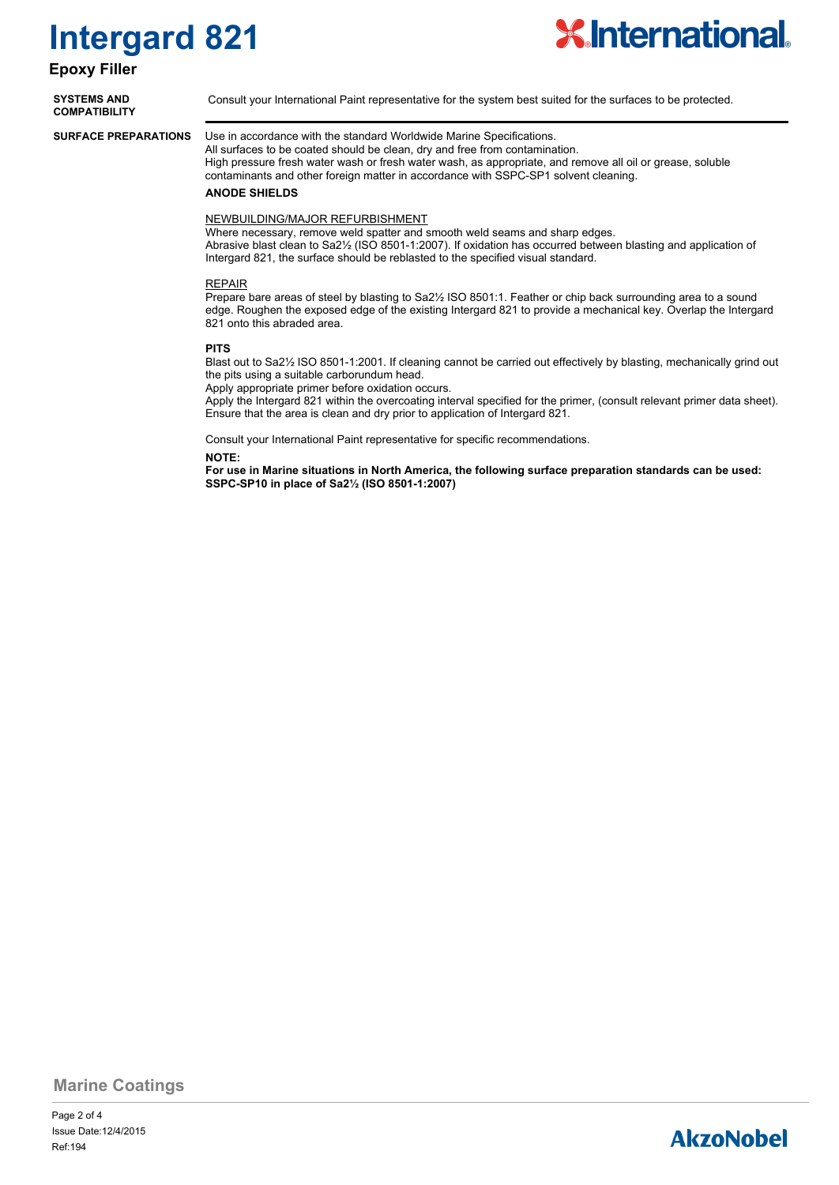### **Epoxy Filler**

**COMPATIBILITY**



**SYSTEMS AND** Consult your International Paint representative for the system best suited for the surfaces to be protected.

**SURFACE PREPARATIONS**

Use in accordance with the standard Worldwide Marine Specifications. All surfaces to be coated should be clean, dry and free from contamination.

High pressure fresh water wash or fresh water wash, as appropriate, and remove all oil or grease, soluble contaminants and other foreign matter in accordance with SSPC-SP1 solvent cleaning.

### **ANODE SHIELDS**

### NEWBUILDING/MAJOR REFURBISHMENT

Where necessary, remove weld spatter and smooth weld seams and sharp edges. Abrasive blast clean to Sa2½ (ISO 8501-1:2007). If oxidation has occurred between blasting and application of Intergard 821, the surface should be reblasted to the specified visual standard.

### REPAIR

Prepare bare areas of steel by blasting to Sa2½ ISO 8501:1. Feather or chip back surrounding area to a sound edge. Roughen the exposed edge of the existing Intergard 821 to provide a mechanical key. Overlap the Intergard 821 onto this abraded area.

### **PITS**

Blast out to Sa2½ ISO 8501-1:2001. If cleaning cannot be carried out effectively by blasting, mechanically grind out the pits using a suitable carborundum head.

Apply appropriate primer before oxidation occurs.

Apply the Intergard 821 within the overcoating interval specified for the primer, (consult relevant primer data sheet). Ensure that the area is clean and dry prior to application of Intergard 821.

Consult your International Paint representative for specific recommendations.

### **NOTE:**

**For use in Marine situations in North America, the following surface preparation standards can be used: SSPC-SP10 in place of Sa2½ (ISO 8501-1:2007)**

### **Marine Coatings**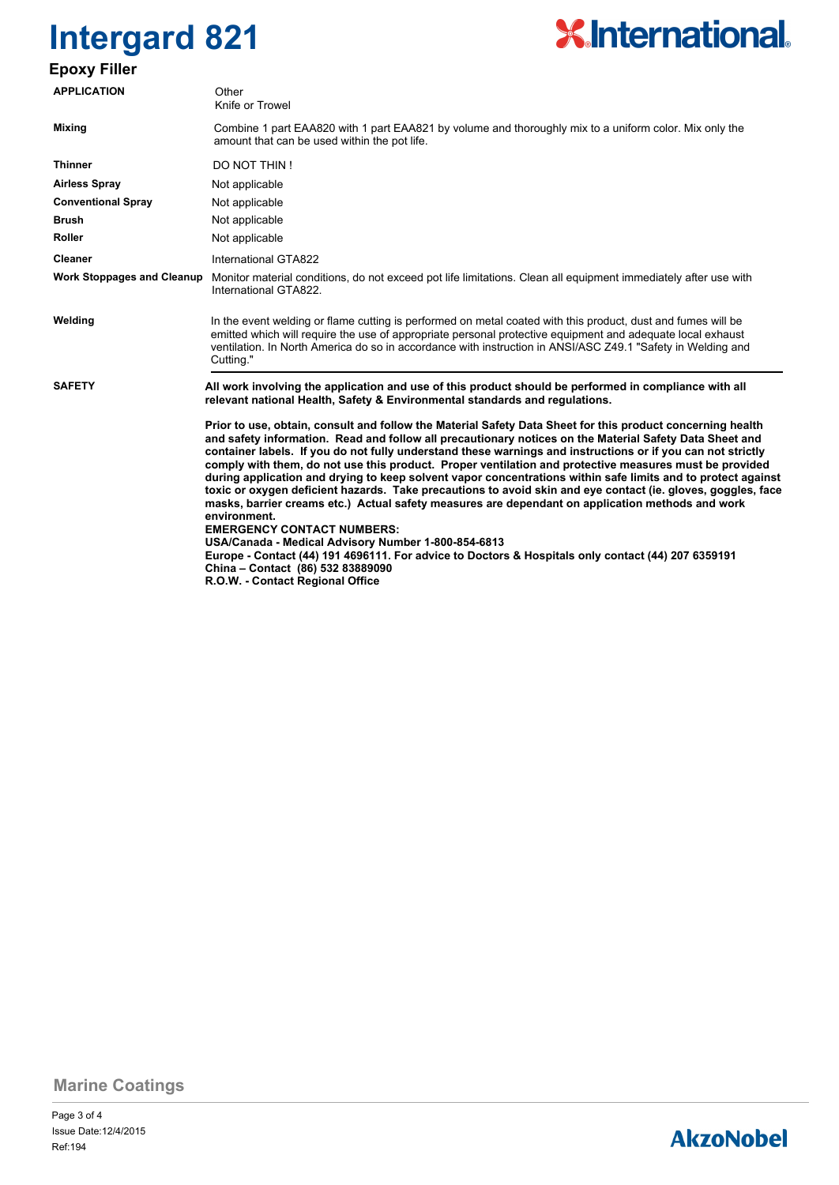# **X.International.**

## **Epoxy Filler**

| <b>APPLICATION</b>                | Other<br>Knife or Trowel                                                                                                                                                                                                                                                                                                                                                                                                                                                                                                                                                                                                                                                                                                                                                                                                                                                                                                                                                                                                                                                      |  |  |  |  |  |  |
|-----------------------------------|-------------------------------------------------------------------------------------------------------------------------------------------------------------------------------------------------------------------------------------------------------------------------------------------------------------------------------------------------------------------------------------------------------------------------------------------------------------------------------------------------------------------------------------------------------------------------------------------------------------------------------------------------------------------------------------------------------------------------------------------------------------------------------------------------------------------------------------------------------------------------------------------------------------------------------------------------------------------------------------------------------------------------------------------------------------------------------|--|--|--|--|--|--|
| <b>Mixing</b>                     | Combine 1 part EAA820 with 1 part EAA821 by volume and thoroughly mix to a uniform color. Mix only the<br>amount that can be used within the pot life.                                                                                                                                                                                                                                                                                                                                                                                                                                                                                                                                                                                                                                                                                                                                                                                                                                                                                                                        |  |  |  |  |  |  |
| <b>Thinner</b>                    | DO NOT THIN!                                                                                                                                                                                                                                                                                                                                                                                                                                                                                                                                                                                                                                                                                                                                                                                                                                                                                                                                                                                                                                                                  |  |  |  |  |  |  |
| <b>Airless Spray</b>              | Not applicable                                                                                                                                                                                                                                                                                                                                                                                                                                                                                                                                                                                                                                                                                                                                                                                                                                                                                                                                                                                                                                                                |  |  |  |  |  |  |
| <b>Conventional Spray</b>         | Not applicable                                                                                                                                                                                                                                                                                                                                                                                                                                                                                                                                                                                                                                                                                                                                                                                                                                                                                                                                                                                                                                                                |  |  |  |  |  |  |
| Brush                             | Not applicable                                                                                                                                                                                                                                                                                                                                                                                                                                                                                                                                                                                                                                                                                                                                                                                                                                                                                                                                                                                                                                                                |  |  |  |  |  |  |
| <b>Roller</b>                     | Not applicable                                                                                                                                                                                                                                                                                                                                                                                                                                                                                                                                                                                                                                                                                                                                                                                                                                                                                                                                                                                                                                                                |  |  |  |  |  |  |
| Cleaner                           | International GTA822                                                                                                                                                                                                                                                                                                                                                                                                                                                                                                                                                                                                                                                                                                                                                                                                                                                                                                                                                                                                                                                          |  |  |  |  |  |  |
| <b>Work Stoppages and Cleanup</b> | Monitor material conditions, do not exceed pot life limitations. Clean all equipment immediately after use with<br>International GTA822.                                                                                                                                                                                                                                                                                                                                                                                                                                                                                                                                                                                                                                                                                                                                                                                                                                                                                                                                      |  |  |  |  |  |  |
| Welding                           | In the event welding or flame cutting is performed on metal coated with this product, dust and fumes will be<br>emitted which will require the use of appropriate personal protective equipment and adequate local exhaust<br>ventilation. In North America do so in accordance with instruction in ANSI/ASC Z49.1 "Safety in Welding and<br>Cutting."                                                                                                                                                                                                                                                                                                                                                                                                                                                                                                                                                                                                                                                                                                                        |  |  |  |  |  |  |
| <b>SAFETY</b>                     | All work involving the application and use of this product should be performed in compliance with all<br>relevant national Health, Safety & Environmental standards and regulations.                                                                                                                                                                                                                                                                                                                                                                                                                                                                                                                                                                                                                                                                                                                                                                                                                                                                                          |  |  |  |  |  |  |
|                                   | Prior to use, obtain, consult and follow the Material Safety Data Sheet for this product concerning health<br>and safety information. Read and follow all precautionary notices on the Material Safety Data Sheet and<br>container labels. If you do not fully understand these warnings and instructions or if you can not strictly<br>comply with them, do not use this product. Proper ventilation and protective measures must be provided<br>during application and drying to keep solvent vapor concentrations within safe limits and to protect against<br>toxic or oxygen deficient hazards. Take precautions to avoid skin and eye contact (ie. gloves, goggles, face<br>masks, barrier creams etc.) Actual safety measures are dependant on application methods and work<br>environment.<br><b>EMERGENCY CONTACT NUMBERS:</b><br>USA/Canada - Medical Advisory Number 1-800-854-6813<br>Europe - Contact (44) 191 4696111. For advice to Doctors & Hospitals only contact (44) 207 6359191<br>China - Contact (86) 532 83889090<br>R.O.W. - Contact Regional Office |  |  |  |  |  |  |

**Marine Coatings**